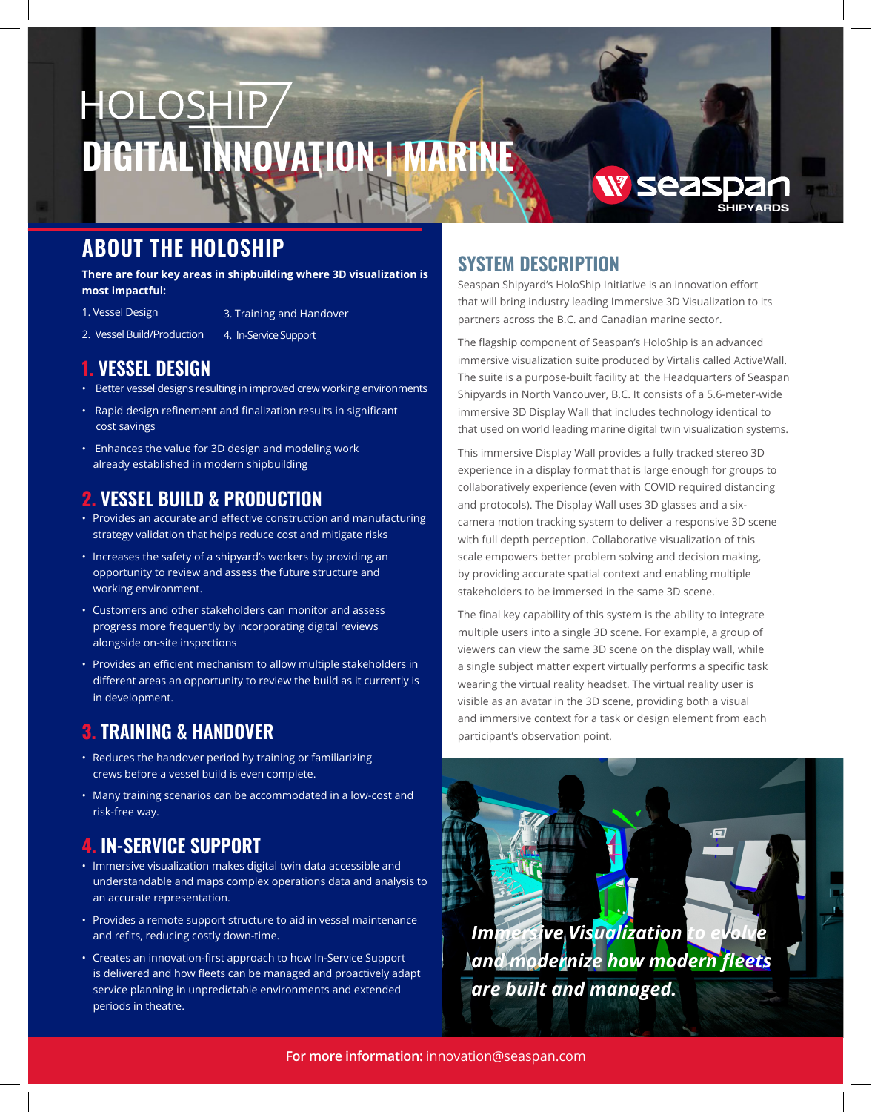# HOLOSHIP/ **DIGITAL INNOVATION IMARY**

# **ABOUT THE HOLOSHIP**

**There are four key areas in shipbuilding where 3D visualization is most impactful:**

- 1. Vessel Design
- 3. Training and Handover
- 2. Vessel Build/Production 4. In-Service Support

### **1. VESSEL DESIGN**

- Better vessel designs resulting in improved crew working environments
- Rapid design refinement and finalization results in significant cost savings
- Enhances the value for 3D design and modeling work already established in modern shipbuilding

# **2. VESSEL BUILD & PRODUCTION**

- Provides an accurate and effective construction and manufacturing strategy validation that helps reduce cost and mitigate risks
- Increases the safety of a shipyard's workers by providing an opportunity to review and assess the future structure and working environment.
- Customers and other stakeholders can monitor and assess progress more frequently by incorporating digital reviews alongside on-site inspections
- Provides an efficient mechanism to allow multiple stakeholders in different areas an opportunity to review the build as it currently is in development.

## **3. TRAINING & HANDOVER**

- Reduces the handover period by training or familiarizing crews before a vessel build is even complete.
- Many training scenarios can be accommodated in a low-cost and risk-free way.

# **4. IN-SERVICE SUPPORT**

- Immersive visualization makes digital twin data accessible and understandable and maps complex operations data and analysis to an accurate representation.
- Provides a remote support structure to aid in vessel maintenance and refits, reducing costly down-time.
- Creates an innovation-first approach to how In-Service Support is delivered and how fleets can be managed and proactively adapt service planning in unpredictable environments and extended periods in theatre.

## **SYSTEM DESCRIPTION**

Seaspan Shipyard's HoloShip Initiative is an innovation effort that will bring industry leading Immersive 3D Visualization to its partners across the B.C. and Canadian marine sector.

SHIPYARDS

**W** seaspa

The flagship component of Seaspan's HoloShip is an advanced immersive visualization suite produced by Virtalis called ActiveWall. The suite is a purpose-built facility at the Headquarters of Seaspan Shipyards in North Vancouver, B.C. It consists of a 5.6-meter-wide immersive 3D Display Wall that includes technology identical to that used on world leading marine digital twin visualization systems.

This immersive Display Wall provides a fully tracked stereo 3D experience in a display format that is large enough for groups to collaboratively experience (even with COVID required distancing and protocols). The Display Wall uses 3D glasses and a sixcamera motion tracking system to deliver a responsive 3D scene with full depth perception. Collaborative visualization of this scale empowers better problem solving and decision making, by providing accurate spatial context and enabling multiple stakeholders to be immersed in the same 3D scene.

The final key capability of this system is the ability to integrate multiple users into a single 3D scene. For example, a group of viewers can view the same 3D scene on the display wall, while a single subject matter expert virtually performs a specific task wearing the virtual reality headset. The virtual reality user is visible as an avatar in the 3D scene, providing both a visual and immersive context for a task or design element from each participant's observation point.

*Immersive Visualization and modernize how modern fleets are built and managed.*

 $\overline{\mathbf{H}}$